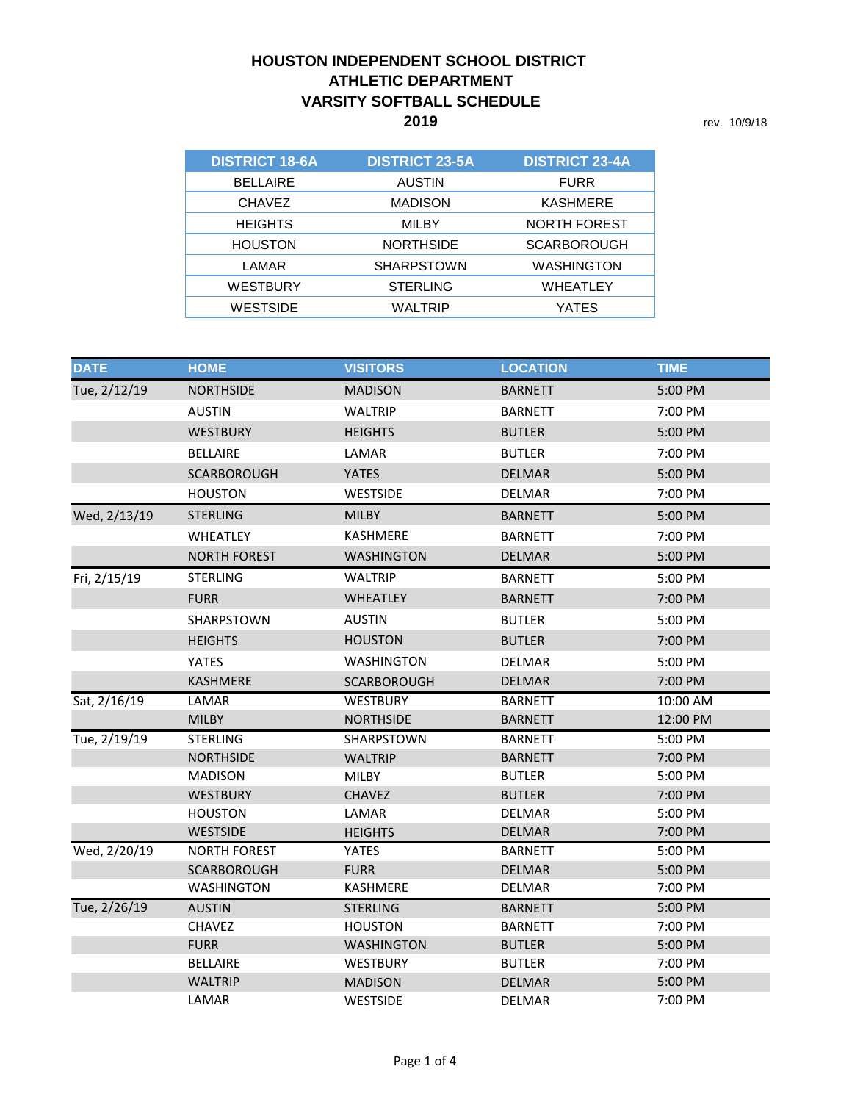## **2019** rev. 10/9/18 **HOUSTON INDEPENDENT SCHOOL DISTRICT ATHLETIC DEPARTMENT VARSITY SOFTBALL SCHEDULE**

| <b>DISTRICT 18-6A</b> | <b>DISTRICT 23-5A</b> | <b>DISTRICT 23-4A</b> |
|-----------------------|-----------------------|-----------------------|
| <b>BELLAIRE</b>       | <b>AUSTIN</b>         | <b>FURR</b>           |
| <b>CHAVEZ</b>         | <b>MADISON</b>        | <b>KASHMERE</b>       |
| <b>HEIGHTS</b>        | <b>MILBY</b>          | <b>NORTH FOREST</b>   |
| <b>HOUSTON</b>        | <b>NORTHSIDE</b>      | <b>SCARBOROUGH</b>    |
| LAMAR                 | <b>SHARPSTOWN</b>     | WASHINGTON            |
| WESTBURY              | <b>STERLING</b>       | WHEATLEY              |
| WESTSIDE              | WALTRIP               | YATES                 |

| <b>DATE</b>  | <b>HOME</b>         | <b>VISITORS</b>   | <b>LOCATION</b> | <b>TIME</b> |
|--------------|---------------------|-------------------|-----------------|-------------|
| Tue, 2/12/19 | <b>NORTHSIDE</b>    | <b>MADISON</b>    | <b>BARNETT</b>  | 5:00 PM     |
|              | <b>AUSTIN</b>       | <b>WALTRIP</b>    | <b>BARNETT</b>  | 7:00 PM     |
|              | <b>WESTBURY</b>     | <b>HEIGHTS</b>    | <b>BUTLER</b>   | 5:00 PM     |
|              | <b>BELLAIRE</b>     | LAMAR             | <b>BUTLER</b>   | 7:00 PM     |
|              | <b>SCARBOROUGH</b>  | <b>YATES</b>      | <b>DELMAR</b>   | 5:00 PM     |
|              | <b>HOUSTON</b>      | WESTSIDE          | DELMAR          | 7:00 PM     |
| Wed, 2/13/19 | <b>STERLING</b>     | <b>MILBY</b>      | <b>BARNETT</b>  | 5:00 PM     |
|              | <b>WHEATLEY</b>     | <b>KASHMERE</b>   | BARNETT         | 7:00 PM     |
|              | <b>NORTH FOREST</b> | <b>WASHINGTON</b> | <b>DELMAR</b>   | 5:00 PM     |
| Fri, 2/15/19 | <b>STERLING</b>     | <b>WALTRIP</b>    | <b>BARNETT</b>  | 5:00 PM     |
|              | <b>FURR</b>         | <b>WHEATLEY</b>   | <b>BARNETT</b>  | 7:00 PM     |
|              | SHARPSTOWN          | <b>AUSTIN</b>     | <b>BUTLER</b>   | 5:00 PM     |
|              | <b>HEIGHTS</b>      | <b>HOUSTON</b>    | <b>BUTLER</b>   | 7:00 PM     |
|              | <b>YATES</b>        | <b>WASHINGTON</b> | <b>DELMAR</b>   | 5:00 PM     |
|              | <b>KASHMERE</b>     | SCARBOROUGH       | <b>DELMAR</b>   | 7:00 PM     |
| Sat, 2/16/19 | LAMAR               | <b>WESTBURY</b>   | <b>BARNETT</b>  | 10:00 AM    |
|              | <b>MILBY</b>        | <b>NORTHSIDE</b>  | BARNETT         | 12:00 PM    |
| Tue, 2/19/19 | <b>STERLING</b>     | <b>SHARPSTOWN</b> | <b>BARNETT</b>  | 5:00 PM     |
|              | <b>NORTHSIDE</b>    | <b>WALTRIP</b>    | <b>BARNETT</b>  | 7:00 PM     |
|              | <b>MADISON</b>      | <b>MILBY</b>      | <b>BUTLER</b>   | 5:00 PM     |
|              | <b>WESTBURY</b>     | <b>CHAVEZ</b>     | <b>BUTLER</b>   | 7:00 PM     |
|              | <b>HOUSTON</b>      | LAMAR             | <b>DELMAR</b>   | 5:00 PM     |
|              | <b>WESTSIDE</b>     | <b>HEIGHTS</b>    | <b>DELMAR</b>   | 7:00 PM     |
| Wed, 2/20/19 | <b>NORTH FOREST</b> | <b>YATES</b>      | <b>BARNETT</b>  | 5:00 PM     |
|              | <b>SCARBOROUGH</b>  | <b>FURR</b>       | <b>DELMAR</b>   | 5:00 PM     |
|              | <b>WASHINGTON</b>   | KASHMERE          | <b>DELMAR</b>   | 7:00 PM     |
| Tue, 2/26/19 | <b>AUSTIN</b>       | <b>STERLING</b>   | <b>BARNETT</b>  | 5:00 PM     |
|              | <b>CHAVEZ</b>       | <b>HOUSTON</b>    | <b>BARNETT</b>  | 7:00 PM     |
|              | <b>FURR</b>         | <b>WASHINGTON</b> | <b>BUTLER</b>   | 5:00 PM     |
|              | <b>BELLAIRE</b>     | <b>WESTBURY</b>   | <b>BUTLER</b>   | 7:00 PM     |
|              | <b>WALTRIP</b>      | <b>MADISON</b>    | <b>DELMAR</b>   | 5:00 PM     |
|              | LAMAR               | <b>WESTSIDE</b>   | <b>DELMAR</b>   | 7:00 PM     |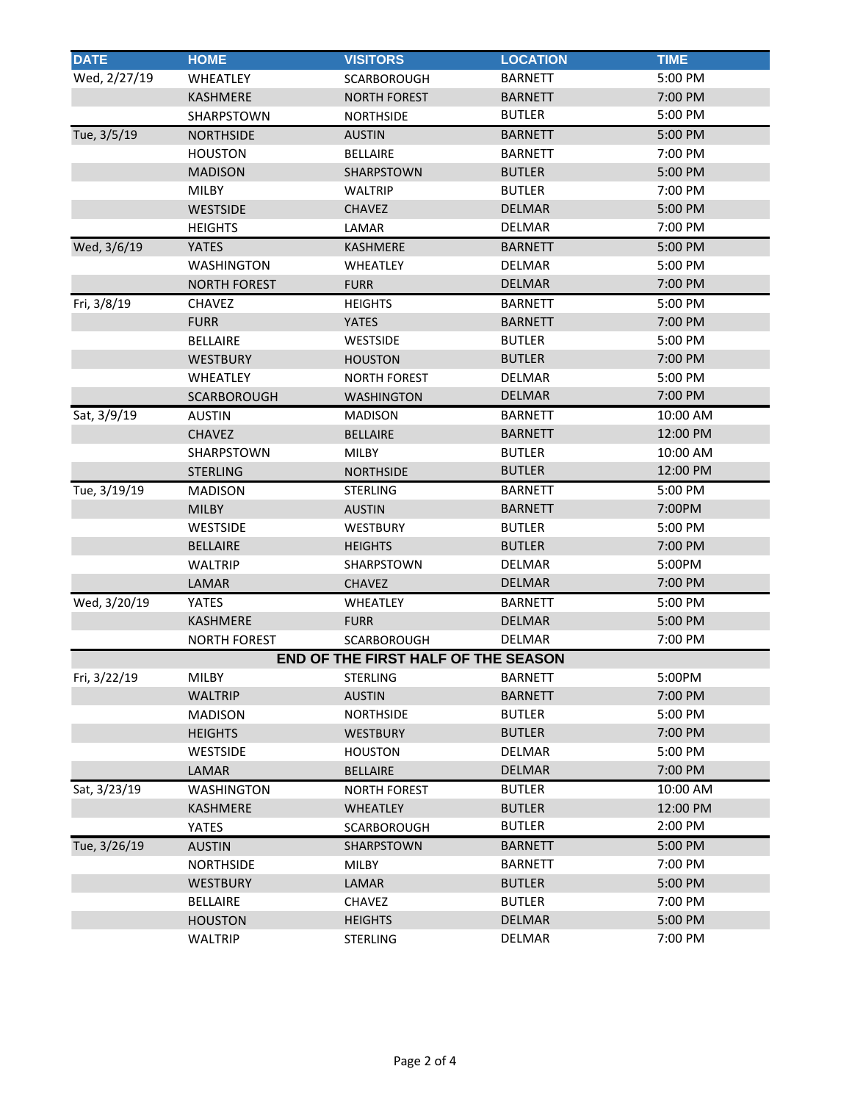| <b>DATE</b>  | <b>HOME</b>         | <b>VISITORS</b>                     | <b>LOCATION</b> | <b>TIME</b> |
|--------------|---------------------|-------------------------------------|-----------------|-------------|
| Wed, 2/27/19 | WHEATLEY            | SCARBOROUGH                         | <b>BARNETT</b>  | 5:00 PM     |
|              | KASHMERE            | <b>NORTH FOREST</b>                 | <b>BARNETT</b>  | 7:00 PM     |
|              | SHARPSTOWN          | <b>NORTHSIDE</b>                    | <b>BUTLER</b>   | 5:00 PM     |
| Tue, 3/5/19  | <b>NORTHSIDE</b>    | <b>AUSTIN</b>                       | <b>BARNETT</b>  | 5:00 PM     |
|              | <b>HOUSTON</b>      | <b>BELLAIRE</b>                     | <b>BARNETT</b>  | 7:00 PM     |
|              | <b>MADISON</b>      | SHARPSTOWN                          | <b>BUTLER</b>   | 5:00 PM     |
|              | <b>MILBY</b>        | <b>WALTRIP</b>                      | <b>BUTLER</b>   | 7:00 PM     |
|              | <b>WESTSIDE</b>     | <b>CHAVEZ</b>                       | <b>DELMAR</b>   | 5:00 PM     |
|              | <b>HEIGHTS</b>      | LAMAR                               | <b>DELMAR</b>   | 7:00 PM     |
| Wed, 3/6/19  | <b>YATES</b>        | <b>KASHMERE</b>                     | <b>BARNETT</b>  | 5:00 PM     |
|              | <b>WASHINGTON</b>   | <b>WHEATLEY</b>                     | <b>DELMAR</b>   | 5:00 PM     |
|              | <b>NORTH FOREST</b> | <b>FURR</b>                         | <b>DELMAR</b>   | 7:00 PM     |
| Fri, 3/8/19  | <b>CHAVEZ</b>       | <b>HEIGHTS</b>                      | <b>BARNETT</b>  | 5:00 PM     |
|              | <b>FURR</b>         | <b>YATES</b>                        | <b>BARNETT</b>  | 7:00 PM     |
|              | <b>BELLAIRE</b>     | <b>WESTSIDE</b>                     | <b>BUTLER</b>   | 5:00 PM     |
|              | <b>WESTBURY</b>     | <b>HOUSTON</b>                      | <b>BUTLER</b>   | 7:00 PM     |
|              | <b>WHEATLEY</b>     | <b>NORTH FOREST</b>                 | <b>DELMAR</b>   | 5:00 PM     |
|              | <b>SCARBOROUGH</b>  | <b>WASHINGTON</b>                   | <b>DELMAR</b>   | 7:00 PM     |
| Sat, 3/9/19  | <b>AUSTIN</b>       | <b>MADISON</b>                      | <b>BARNETT</b>  | 10:00 AM    |
|              | <b>CHAVEZ</b>       | <b>BELLAIRE</b>                     | <b>BARNETT</b>  | 12:00 PM    |
|              | SHARPSTOWN          | MILBY                               | <b>BUTLER</b>   | 10:00 AM    |
|              | <b>STERLING</b>     | <b>NORTHSIDE</b>                    | <b>BUTLER</b>   | 12:00 PM    |
| Tue, 3/19/19 | <b>MADISON</b>      | <b>STERLING</b>                     | <b>BARNETT</b>  | 5:00 PM     |
|              | <b>MILBY</b>        | <b>AUSTIN</b>                       | <b>BARNETT</b>  | 7:00PM      |
|              | WESTSIDE            | <b>WESTBURY</b>                     | <b>BUTLER</b>   | 5:00 PM     |
|              | <b>BELLAIRE</b>     | <b>HEIGHTS</b>                      | <b>BUTLER</b>   | 7:00 PM     |
|              | <b>WALTRIP</b>      | SHARPSTOWN                          | <b>DELMAR</b>   | 5:00PM      |
|              | LAMAR               | <b>CHAVEZ</b>                       | <b>DELMAR</b>   | 7:00 PM     |
| Wed, 3/20/19 | <b>YATES</b>        | <b>WHEATLEY</b>                     | <b>BARNETT</b>  | 5:00 PM     |
|              | KASHMERE            | <b>FURR</b>                         | <b>DELMAR</b>   | 5:00 PM     |
|              | <b>NORTH FOREST</b> | SCARBOROUGH                         | <b>DELMAR</b>   | 7:00 PM     |
|              |                     | END OF THE FIRST HALF OF THE SEASON |                 |             |
| Fri, 3/22/19 | <b>MILBY</b>        | <b>STERLING</b>                     | <b>BARNETT</b>  | 5:00PM      |
|              | <b>WALTRIP</b>      | <b>AUSTIN</b>                       | <b>BARNETT</b>  | 7:00 PM     |
|              | <b>MADISON</b>      | NORTHSIDE                           | <b>BUTLER</b>   | 5:00 PM     |
|              | <b>HEIGHTS</b>      | <b>WESTBURY</b>                     | <b>BUTLER</b>   | 7:00 PM     |
|              | <b>WESTSIDE</b>     | <b>HOUSTON</b>                      | <b>DELMAR</b>   | 5:00 PM     |
|              | LAMAR               | <b>BELLAIRE</b>                     | <b>DELMAR</b>   | 7:00 PM     |
| Sat, 3/23/19 | <b>WASHINGTON</b>   | <b>NORTH FOREST</b>                 | <b>BUTLER</b>   | 10:00 AM    |
|              | <b>KASHMERE</b>     | <b>WHEATLEY</b>                     | <b>BUTLER</b>   | 12:00 PM    |
|              | YATES               | SCARBOROUGH                         | <b>BUTLER</b>   | 2:00 PM     |
| Tue, 3/26/19 | <b>AUSTIN</b>       | SHARPSTOWN                          | <b>BARNETT</b>  | 5:00 PM     |
|              | <b>NORTHSIDE</b>    | MILBY                               | <b>BARNETT</b>  | 7:00 PM     |
|              | <b>WESTBURY</b>     | LAMAR                               | <b>BUTLER</b>   | 5:00 PM     |
|              | <b>BELLAIRE</b>     | <b>CHAVEZ</b>                       | <b>BUTLER</b>   | 7:00 PM     |
|              | <b>HOUSTON</b>      | <b>HEIGHTS</b>                      | <b>DELMAR</b>   | 5:00 PM     |
|              | <b>WALTRIP</b>      | <b>STERLING</b>                     | <b>DELMAR</b>   | 7:00 PM     |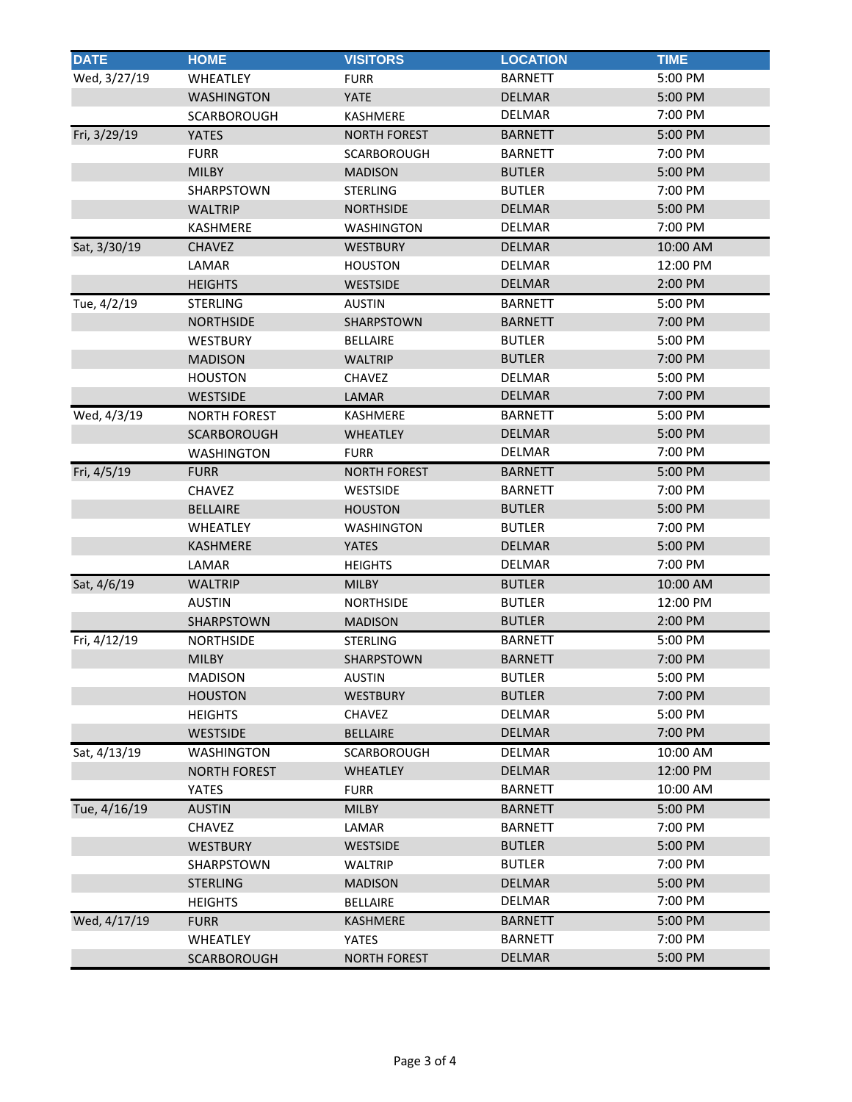| <b>DATE</b>  | <b>HOME</b>         | <b>VISITORS</b>     | <b>LOCATION</b> | <b>TIME</b> |
|--------------|---------------------|---------------------|-----------------|-------------|
| Wed, 3/27/19 | WHEATLEY            | <b>FURR</b>         | <b>BARNETT</b>  | 5:00 PM     |
|              | <b>WASHINGTON</b>   | YATE                | <b>DELMAR</b>   | 5:00 PM     |
|              | <b>SCARBOROUGH</b>  | <b>KASHMERE</b>     | <b>DELMAR</b>   | 7:00 PM     |
| Fri, 3/29/19 | <b>YATES</b>        | <b>NORTH FOREST</b> | <b>BARNETT</b>  | 5:00 PM     |
|              | <b>FURR</b>         | <b>SCARBOROUGH</b>  | <b>BARNETT</b>  | 7:00 PM     |
|              | <b>MILBY</b>        | <b>MADISON</b>      | <b>BUTLER</b>   | 5:00 PM     |
|              | SHARPSTOWN          | <b>STERLING</b>     | <b>BUTLER</b>   | 7:00 PM     |
|              | <b>WALTRIP</b>      | <b>NORTHSIDE</b>    | <b>DELMAR</b>   | 5:00 PM     |
|              | <b>KASHMERE</b>     | <b>WASHINGTON</b>   | <b>DELMAR</b>   | 7:00 PM     |
| Sat, 3/30/19 | <b>CHAVEZ</b>       | <b>WESTBURY</b>     | <b>DELMAR</b>   | 10:00 AM    |
|              | LAMAR               | <b>HOUSTON</b>      | <b>DELMAR</b>   | 12:00 PM    |
|              | <b>HEIGHTS</b>      | <b>WESTSIDE</b>     | <b>DELMAR</b>   | 2:00 PM     |
| Tue, 4/2/19  | <b>STERLING</b>     | <b>AUSTIN</b>       | <b>BARNETT</b>  | 5:00 PM     |
|              | <b>NORTHSIDE</b>    | <b>SHARPSTOWN</b>   | <b>BARNETT</b>  | 7:00 PM     |
|              | <b>WESTBURY</b>     | <b>BELLAIRE</b>     | <b>BUTLER</b>   | 5:00 PM     |
|              | <b>MADISON</b>      | WALTRIP             | <b>BUTLER</b>   | 7:00 PM     |
|              | <b>HOUSTON</b>      | <b>CHAVEZ</b>       | <b>DELMAR</b>   | 5:00 PM     |
|              | <b>WESTSIDE</b>     | LAMAR               | <b>DELMAR</b>   | 7:00 PM     |
| Wed, 4/3/19  | <b>NORTH FOREST</b> | <b>KASHMERE</b>     | <b>BARNETT</b>  | 5:00 PM     |
|              | <b>SCARBOROUGH</b>  | <b>WHEATLEY</b>     | <b>DELMAR</b>   | 5:00 PM     |
|              | <b>WASHINGTON</b>   | <b>FURR</b>         | <b>DELMAR</b>   | 7:00 PM     |
| Fri, 4/5/19  | <b>FURR</b>         | <b>NORTH FOREST</b> | <b>BARNETT</b>  | 5:00 PM     |
|              | <b>CHAVEZ</b>       | WESTSIDE            | <b>BARNETT</b>  | 7:00 PM     |
|              | <b>BELLAIRE</b>     | <b>HOUSTON</b>      | <b>BUTLER</b>   | 5:00 PM     |
|              | WHEATLEY            | <b>WASHINGTON</b>   | <b>BUTLER</b>   | 7:00 PM     |
|              | <b>KASHMERE</b>     | YATES               | <b>DELMAR</b>   | 5:00 PM     |
|              | LAMAR               | <b>HEIGHTS</b>      | <b>DELMAR</b>   | 7:00 PM     |
| Sat, 4/6/19  | <b>WALTRIP</b>      | MILBY               | <b>BUTLER</b>   | 10:00 AM    |
|              | <b>AUSTIN</b>       | <b>NORTHSIDE</b>    | <b>BUTLER</b>   | 12:00 PM    |
|              | SHARPSTOWN          | <b>MADISON</b>      | <b>BUTLER</b>   | 2:00 PM     |
| Fri, 4/12/19 | <b>NORTHSIDE</b>    | STERLING            | <b>BARNETT</b>  | 5:00 PM     |
|              | <b>MILBY</b>        | <b>SHARPSTOWN</b>   | <b>BARNETT</b>  | 7:00 PM     |
|              | <b>MADISON</b>      | <b>AUSTIN</b>       | <b>BUTLER</b>   | 5:00 PM     |
|              | <b>HOUSTON</b>      | <b>WESTBURY</b>     | <b>BUTLER</b>   | 7:00 PM     |
|              | <b>HEIGHTS</b>      | <b>CHAVEZ</b>       | <b>DELMAR</b>   | 5:00 PM     |
|              | <b>WESTSIDE</b>     | <b>BELLAIRE</b>     | <b>DELMAR</b>   | 7:00 PM     |
| Sat, 4/13/19 | <b>WASHINGTON</b>   | <b>SCARBOROUGH</b>  | <b>DELMAR</b>   | 10:00 AM    |
|              | <b>NORTH FOREST</b> | <b>WHEATLEY</b>     | <b>DELMAR</b>   | 12:00 PM    |
|              | <b>YATES</b>        | <b>FURR</b>         | <b>BARNETT</b>  | 10:00 AM    |
| Tue, 4/16/19 | <b>AUSTIN</b>       | <b>MILBY</b>        | <b>BARNETT</b>  | 5:00 PM     |
|              | <b>CHAVEZ</b>       | LAMAR               | <b>BARNETT</b>  | 7:00 PM     |
|              | <b>WESTBURY</b>     | <b>WESTSIDE</b>     | <b>BUTLER</b>   | 5:00 PM     |
|              | SHARPSTOWN          | WALTRIP             | <b>BUTLER</b>   | 7:00 PM     |
|              | <b>STERLING</b>     | <b>MADISON</b>      | <b>DELMAR</b>   | 5:00 PM     |
|              | <b>HEIGHTS</b>      | BELLAIRE            | <b>DELMAR</b>   | 7:00 PM     |
| Wed, 4/17/19 | <b>FURR</b>         | KASHMERE            | <b>BARNETT</b>  | 5:00 PM     |
|              | WHEATLEY            | YATES               | <b>BARNETT</b>  | 7:00 PM     |
|              | <b>SCARBOROUGH</b>  | <b>NORTH FOREST</b> | <b>DELMAR</b>   | 5:00 PM     |